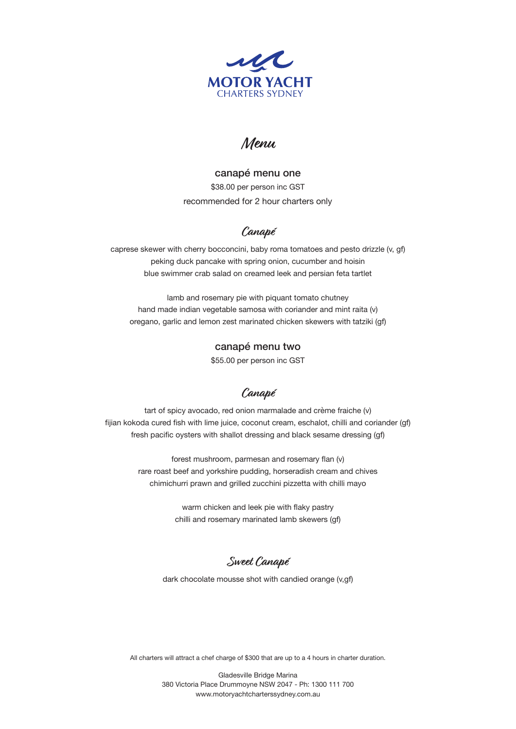

# **Menu**

canapé menu one \$38.00 per person inc GST recommended for 2 hour charters only

## **Canapé**

caprese skewer with cherry bocconcini, baby roma tomatoes and pesto drizzle (v, gf) peking duck pancake with spring onion, cucumber and hoisin blue swimmer crab salad on creamed leek and persian feta tartlet

lamb and rosemary pie with piquant tomato chutney hand made indian vegetable samosa with coriander and mint raita (v) oregano, garlic and lemon zest marinated chicken skewers with tatziki (gf)

### canapé menu two

\$55.00 per person inc GST

### **Canapé**

tart of spicy avocado, red onion marmalade and crème fraiche (v) fijian kokoda cured fish with lime juice, coconut cream, eschalot, chilli and coriander (gf) fresh pacific oysters with shallot dressing and black sesame dressing (gf)

> forest mushroom, parmesan and rosemary flan (v) rare roast beef and yorkshire pudding, horseradish cream and chives chimichurri prawn and grilled zucchini pizzetta with chilli mayo

> > warm chicken and leek pie with flaky pastry chilli and rosemary marinated lamb skewers (gf)

### **Sweet Canapé**

dark chocolate mousse shot with candied orange (v,gf)

All charters will attract a chef charge of \$300 that are up to a 4 hours in charter duration.

Gladesville Bridge Marina 380 Victoria Place Drummoyne NSW 2047 - Ph: 1300 111 700 www.motoryachtcharterssydney.com.au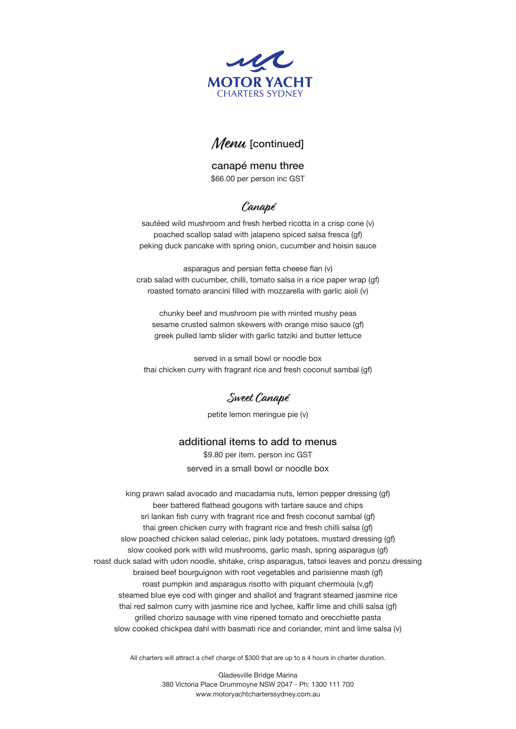

# Menu [continued]

canapé menu three \$66.00 per person inc GST

## **Canapé**

sautéed wild mushroom and fresh herbed ricotta in a crisp cone (v) poached scallop salad with jalapeno spiced salsa fresca (gf) peking duck pancake with spring onion, cucumber and hoisin sauce

asparagus and persian fetta cheese flan (v) crab salad with cucumber, chilli, tomato salsa in a rice paper wrap (gf) roasted tomato arancini filled with mozzarella with garlic aioli (v)

chunky beef and mushroom pie with minted mushy peas sesame crusted salmon skewers with orange miso sauce (gf) greek pulled lamb slider with garlic tatziki and butter lettuce

served in a small bowl or noodle box thai chicken curry with fragrant rice and fresh coconut sambal (gf)

**Sweet Canapé**

petite lemon meringue pie (v)

#### additional items to add to menus

\$9.80 per item. person inc GST served in a small bowl or noodle box

king prawn salad avocado and macadamia nuts, lemon pepper dressing (gf) beer battered flathead gougons with tartare sauce and chips sri lankan fish curry with fragrant rice and fresh coconut sambal (gf) thai green chicken curry with fragrant rice and fresh chilli salsa (gf) slow poached chicken salad celeriac, pink lady potatoes, mustard dressing (gf) slow cooked pork with wild mushrooms, garlic mash, spring asparagus (gf) roast duck salad with udon noodle, shitake, crisp asparagus, tatsoi leaves and ponzu dressing braised beef bourguignon with root vegetables and parisienne mash (gf) roast pumpkin and asparagus risotto with piquant chermoula (v,gf) steamed blue eye cod with ginger and shallot and fragrant steamed jasmine rice thai red salmon curry with jasmine rice and lychee, kaffir lime and chilli salsa (gf) grilled chorizo sausage with vine ripened tomato and orecchiette pasta slow cooked chickpea dahl with basmati rice and coriander, mint and lime salsa (v)

All charters will attract a chef charge of \$300 that are up to a 4 hours in charter duration.

Gladesville Bridge Marina 380 Victoria Place Drummoyne NSW 2047 - Ph: 1300 111 700 www.motoryachtcharterssydney.com.au